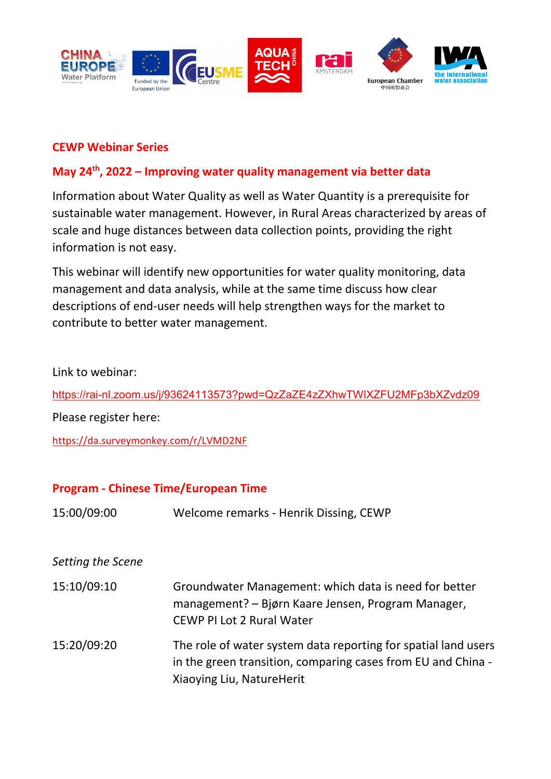

#### **CEWP Webinar Series**

# **May 24th, 2022 – Improving water quality management via better data**

Information about Water Quality as well as Water Quantity is a prerequisite for sustainable water management. However, in Rural Areas characterized by areas of scale and huge distances between data collection points, providing the right information is not easy.

This webinar will identify new opportunities for water quality monitoring, data management and data analysis, while at the same time discuss how clear descriptions of end-user needs will help strengthen ways for the market to contribute to better water management.

Link to webinar:

<https://rai-nl.zoom.us/j/93624113573?pwd=QzZaZE4zZXhwTWlXZFU2MFp3bXZvdz09>

Please register here:

<https://da.surveymonkey.com/r/LVMD2NF>

## **Program - Chinese Time/European Time**

15:00/09:00 Welcome remarks - Henrik Dissing, CEWP

## *Setting the Scene*

15:10/09:10 Groundwater Management: which data is need for better management? – Bjørn Kaare Jensen, Program Manager, CEWP PI Lot 2 Rural Water 15:20/09:20 The role of water system data reporting for spatial land users in the green transition, comparing cases from EU and China - Xiaoying Liu, NatureHerit